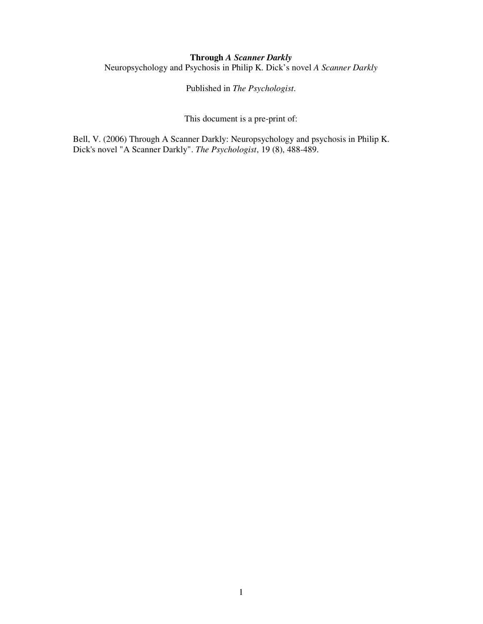## **Through** *A Scanner Darkly*

Neuropsychology and Psychosis in Philip K. Dick's novel *A Scanner Darkly*

Published in *The Psychologist*.

This document is a pre-print of:

Bell, V. (2006) Through A Scanner Darkly: Neuropsychology and psychosis in Philip K. Dick's novel "A Scanner Darkly". *The Psychologist*, 19 (8), 488-489.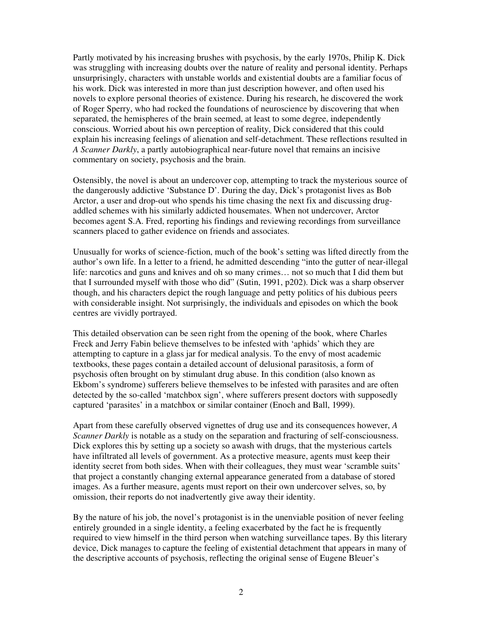Partly motivated by his increasing brushes with psychosis, by the early 1970s, Philip K. Dick was struggling with increasing doubts over the nature of reality and personal identity. Perhaps unsurprisingly, characters with unstable worlds and existential doubts are a familiar focus of his work. Dick was interested in more than just description however, and often used his novels to explore personal theories of existence. During his research, he discovered the work of Roger Sperry, who had rocked the foundations of neuroscience by discovering that when separated, the hemispheres of the brain seemed, at least to some degree, independently conscious. Worried about his own perception of reality, Dick considered that this could explain his increasing feelings of alienation and self-detachment. These reflections resulted in *A Scanner Darkly*, a partly autobiographical near-future novel that remains an incisive commentary on society, psychosis and the brain.

Ostensibly, the novel is about an undercover cop, attempting to track the mysterious source of the dangerously addictive 'Substance D'. During the day, Dick's protagonist lives as Bob Arctor, a user and drop-out who spends his time chasing the next fix and discussing drugaddled schemes with his similarly addicted housemates. When not undercover, Arctor becomes agent S.A. Fred, reporting his findings and reviewing recordings from surveillance scanners placed to gather evidence on friends and associates.

Unusually for works of science-fiction, much of the book's setting was lifted directly from the author's own life. In a letter to a friend, he admitted descending "into the gutter of near-illegal life: narcotics and guns and knives and oh so many crimes… not so much that I did them but that I surrounded myself with those who did" (Sutin, 1991, p202). Dick was a sharp observer though, and his characters depict the rough language and petty politics of his dubious peers with considerable insight. Not surprisingly, the individuals and episodes on which the book centres are vividly portrayed.

This detailed observation can be seen right from the opening of the book, where Charles Freck and Jerry Fabin believe themselves to be infested with 'aphids' which they are attempting to capture in a glass jar for medical analysis. To the envy of most academic textbooks, these pages contain a detailed account of delusional parasitosis, a form of psychosis often brought on by stimulant drug abuse. In this condition (also known as Ekbom's syndrome) sufferers believe themselves to be infested with parasites and are often detected by the so-called 'matchbox sign', where sufferers present doctors with supposedly captured 'parasites' in a matchbox or similar container (Enoch and Ball, 1999).

Apart from these carefully observed vignettes of drug use and its consequences however, *A Scanner Darkly* is notable as a study on the separation and fracturing of self-consciousness. Dick explores this by setting up a society so awash with drugs, that the mysterious cartels have infiltrated all levels of government. As a protective measure, agents must keep their identity secret from both sides. When with their colleagues, they must wear 'scramble suits' that project a constantly changing external appearance generated from a database of stored images. As a further measure, agents must report on their own undercover selves, so, by omission, their reports do not inadvertently give away their identity.

By the nature of his job, the novel's protagonist is in the unenviable position of never feeling entirely grounded in a single identity, a feeling exacerbated by the fact he is frequently required to view himself in the third person when watching surveillance tapes. By this literary device, Dick manages to capture the feeling of existential detachment that appears in many of the descriptive accounts of psychosis, reflecting the original sense of Eugene Bleuer's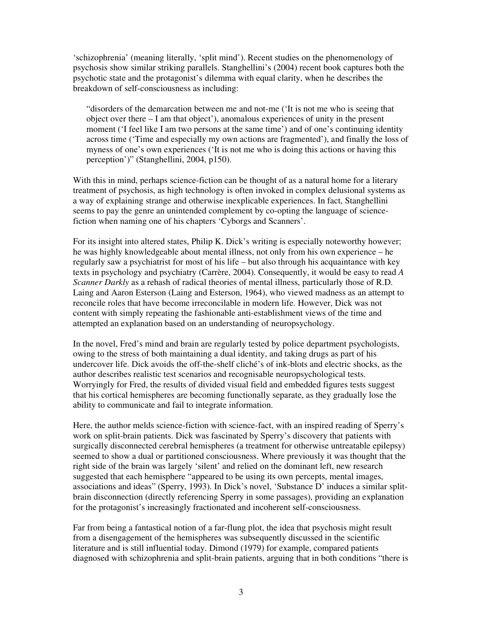'schizophrenia' (meaning literally, 'split mind'). Recent studies on the phenomenology of psychosis show similar striking parallels. Stanghellini's (2004) recent book captures both the psychotic state and the protagonist's dilemma with equal clarity, when he describes the breakdown of self-consciousness as including:

"disorders of the demarcation between me and not-me ('It is not me who is seeing that object over there – I am that object'), anomalous experiences of unity in the present moment ('I feel like I am two persons at the same time') and of one's continuing identity across time ('Time and especially my own actions are fragmented'), and finally the loss of myness of one's own experiences ('It is not me who is doing this actions or having this perception')" (Stanghellini, 2004, p150).

With this in mind, perhaps science-fiction can be thought of as a natural home for a literary treatment of psychosis, as high technology is often invoked in complex delusional systems as a way of explaining strange and otherwise inexplicable experiences. In fact, Stanghellini seems to pay the genre an unintended complement by co-opting the language of sciencefiction when naming one of his chapters 'Cyborgs and Scanners'.

For its insight into altered states, Philip K. Dick's writing is especially noteworthy however; he was highly knowledgeable about mental illness, not only from his own experience – he regularly saw a psychiatrist for most of his life – but also through his acquaintance with key texts in psychology and psychiatry (Carrère, 2004). Consequently, it would be easy to read *A Scanner Darkly* as a rehash of radical theories of mental illness, particularly those of R.D. Laing and Aaron Esterson (Laing and Esterson, 1964), who viewed madness as an attempt to reconcile roles that have become irreconcilable in modern life. However, Dick was not content with simply repeating the fashionable anti-establishment views of the time and attempted an explanation based on an understanding of neuropsychology.

In the novel, Fred's mind and brain are regularly tested by police department psychologists, owing to the stress of both maintaining a dual identity, and taking drugs as part of his undercover life. Dick avoids the off-the-shelf cliché's of ink-blots and electric shocks, as the author describes realistic test scenarios and recognisable neuropsychological tests. Worryingly for Fred, the results of divided visual field and embedded figures tests suggest that his cortical hemispheres are becoming functionally separate, as they gradually lose the ability to communicate and fail to integrate information.

Here, the author melds science-fiction with science-fact, with an inspired reading of Sperry's work on split-brain patients. Dick was fascinated by Sperry's discovery that patients with surgically disconnected cerebral hemispheres (a treatment for otherwise untreatable epilepsy) seemed to show a dual or partitioned consciousness. Where previously it was thought that the right side of the brain was largely 'silent' and relied on the dominant left, new research suggested that each hemisphere "appeared to be using its own percepts, mental images, associations and ideas" (Sperry, 1993). In Dick's novel, 'Substance D' induces a similar splitbrain disconnection (directly referencing Sperry in some passages), providing an explanation for the protagonist's increasingly fractionated and incoherent self-consciousness.

Far from being a fantastical notion of a far-flung plot, the idea that psychosis might result from a disengagement of the hemispheres was subsequently discussed in the scientific literature and is still influential today. Dimond (1979) for example, compared patients diagnosed with schizophrenia and split-brain patients, arguing that in both conditions "there is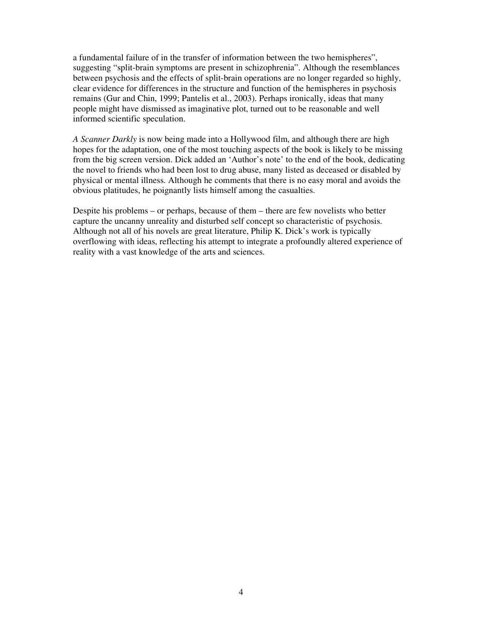a fundamental failure of in the transfer of information between the two hemispheres", suggesting "split-brain symptoms are present in schizophrenia". Although the resemblances between psychosis and the effects of split-brain operations are no longer regarded so highly, clear evidence for differences in the structure and function of the hemispheres in psychosis remains (Gur and Chin, 1999; Pantelis et al., 2003). Perhaps ironically, ideas that many people might have dismissed as imaginative plot, turned out to be reasonable and well informed scientific speculation.

*A Scanner Darkly* is now being made into a Hollywood film, and although there are high hopes for the adaptation, one of the most touching aspects of the book is likely to be missing from the big screen version. Dick added an 'Author's note' to the end of the book, dedicating the novel to friends who had been lost to drug abuse, many listed as deceased or disabled by physical or mental illness. Although he comments that there is no easy moral and avoids the obvious platitudes, he poignantly lists himself among the casualties.

Despite his problems – or perhaps, because of them – there are few novelists who better capture the uncanny unreality and disturbed self concept so characteristic of psychosis. Although not all of his novels are great literature, Philip K. Dick's work is typically overflowing with ideas, reflecting his attempt to integrate a profoundly altered experience of reality with a vast knowledge of the arts and sciences.